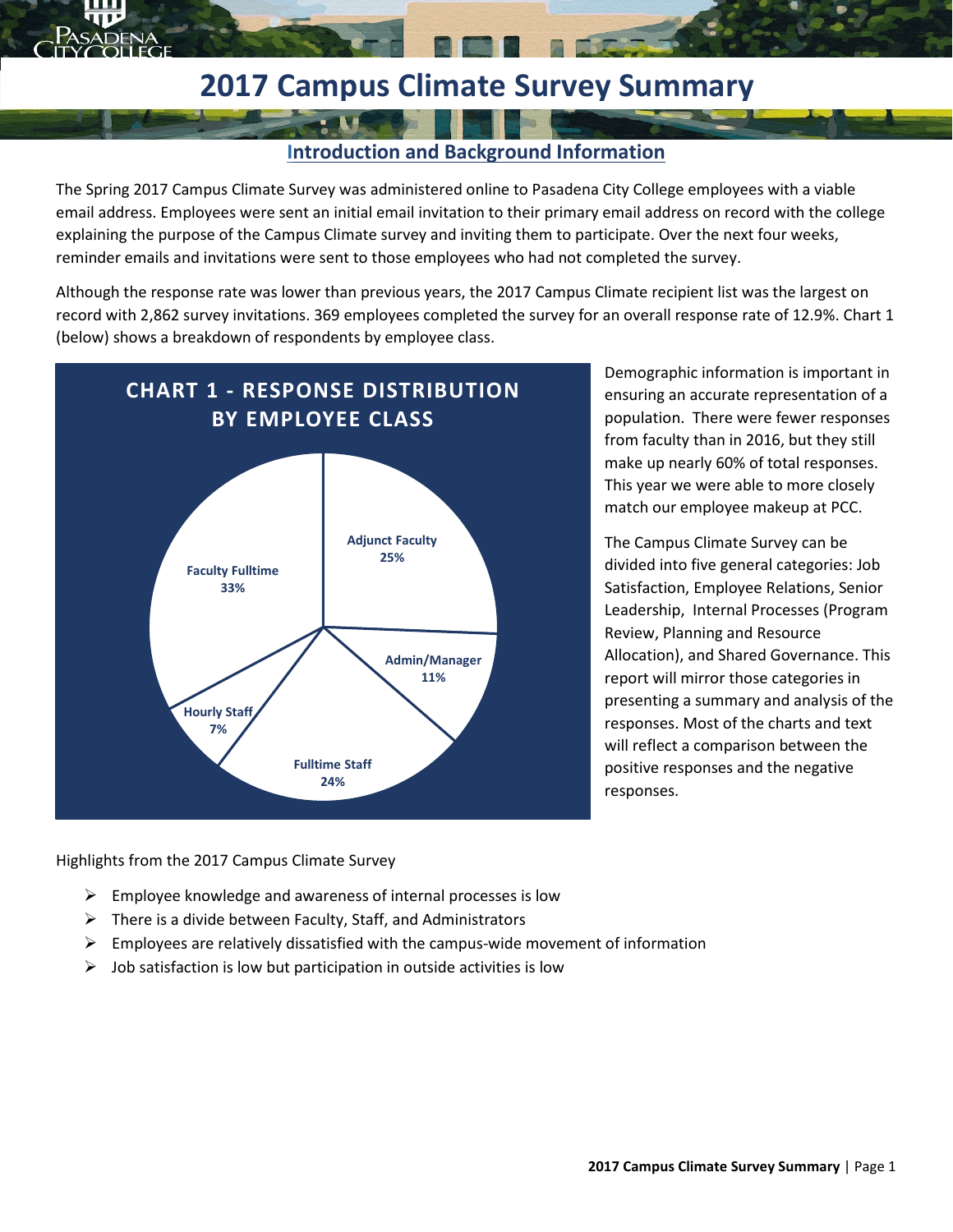# **2017 Campus Climate Survey Summary**

#### **Introduction and Background Information**

The Spring 2017 Campus Climate Survey was administered online to Pasadena City College employees with a viable email address. Employees were sent an initial email invitation to their primary email address on record with the college explaining the purpose of the Campus Climate survey and inviting them to participate. Over the next four weeks, reminder emails and invitations were sent to those employees who had not completed the survey.

Although the response rate was lower than previous years, the 2017 Campus Climate recipient list was the largest on record with 2,862 survey invitations. 369 employees completed the survey for an overall response rate of 12.9%. Chart 1 (below) shows a breakdown of respondents by employee class.



Demographic information is important in ensuring an accurate representation of a population. There were fewer responses from faculty than in 2016, but they still make up nearly 60% of total responses. This year we were able to more closely match our employee makeup at PCC.

The Campus Climate Survey can be divided into five general categories: Job Satisfaction, Employee Relations, Senior Leadership, Internal Processes (Program Review, Planning and Resource Allocation), and Shared Governance. This report will mirror those categories in presenting a summary and analysis of the responses. Most of the charts and text will reflect a comparison between the positive responses and the negative responses.

Highlights from the 2017 Campus Climate Survey

- $\triangleright$  Employee knowledge and awareness of internal processes is low
- $\triangleright$  There is a divide between Faculty, Staff, and Administrators
- $\triangleright$  Employees are relatively dissatisfied with the campus-wide movement of information
- $\triangleright$  Job satisfaction is low but participation in outside activities is low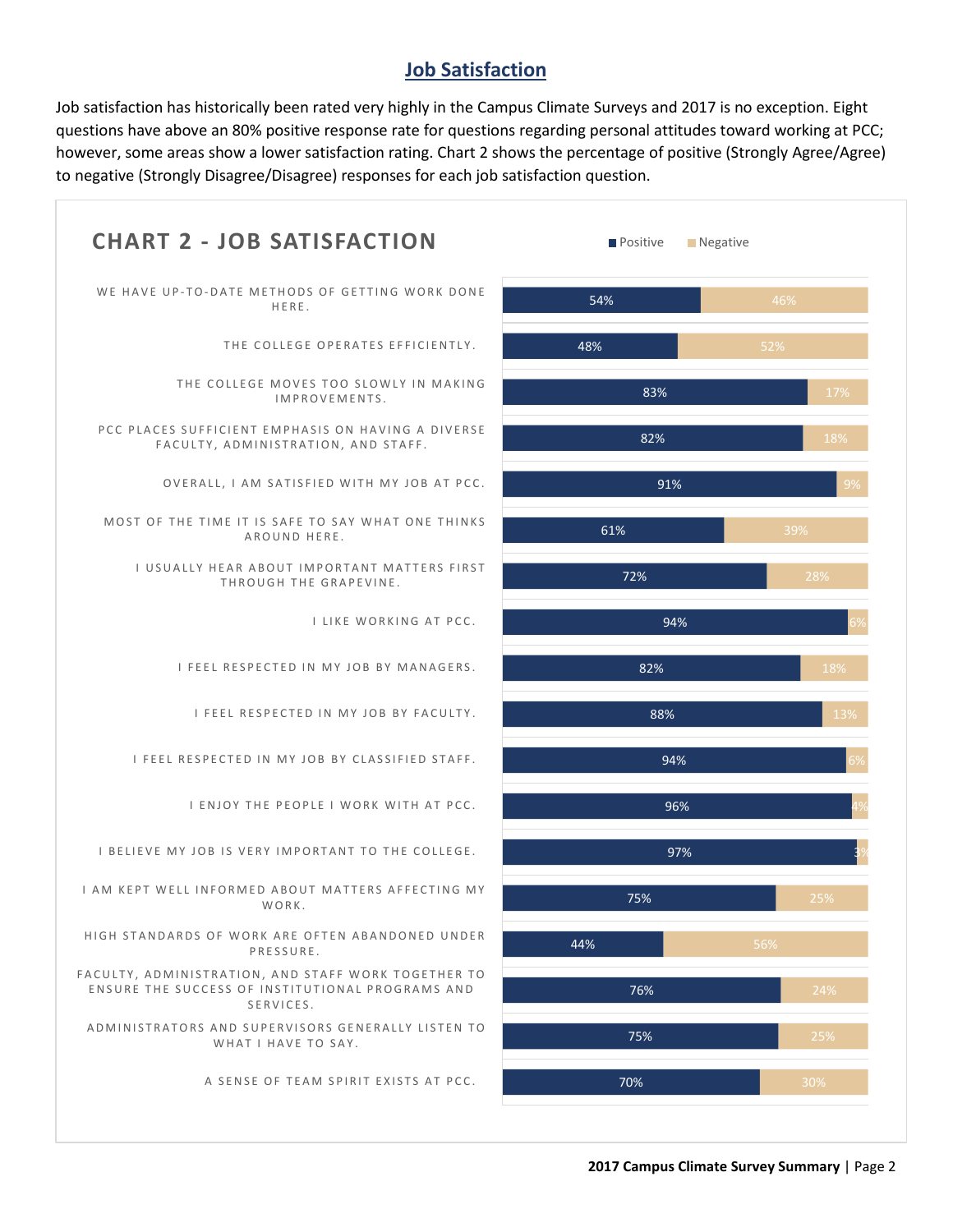#### **Job Satisfaction**

Job satisfaction has historically been rated very highly in the Campus Climate Surveys and 2017 is no exception. Eight questions have above an 80% positive response rate for questions regarding personal attitudes toward working at PCC; however, some areas show a lower satisfaction rating. Chart 2 shows the percentage of positive (Strongly Agree/Agree) to negative (Strongly Disagree/Disagree) responses for each job satisfaction question.

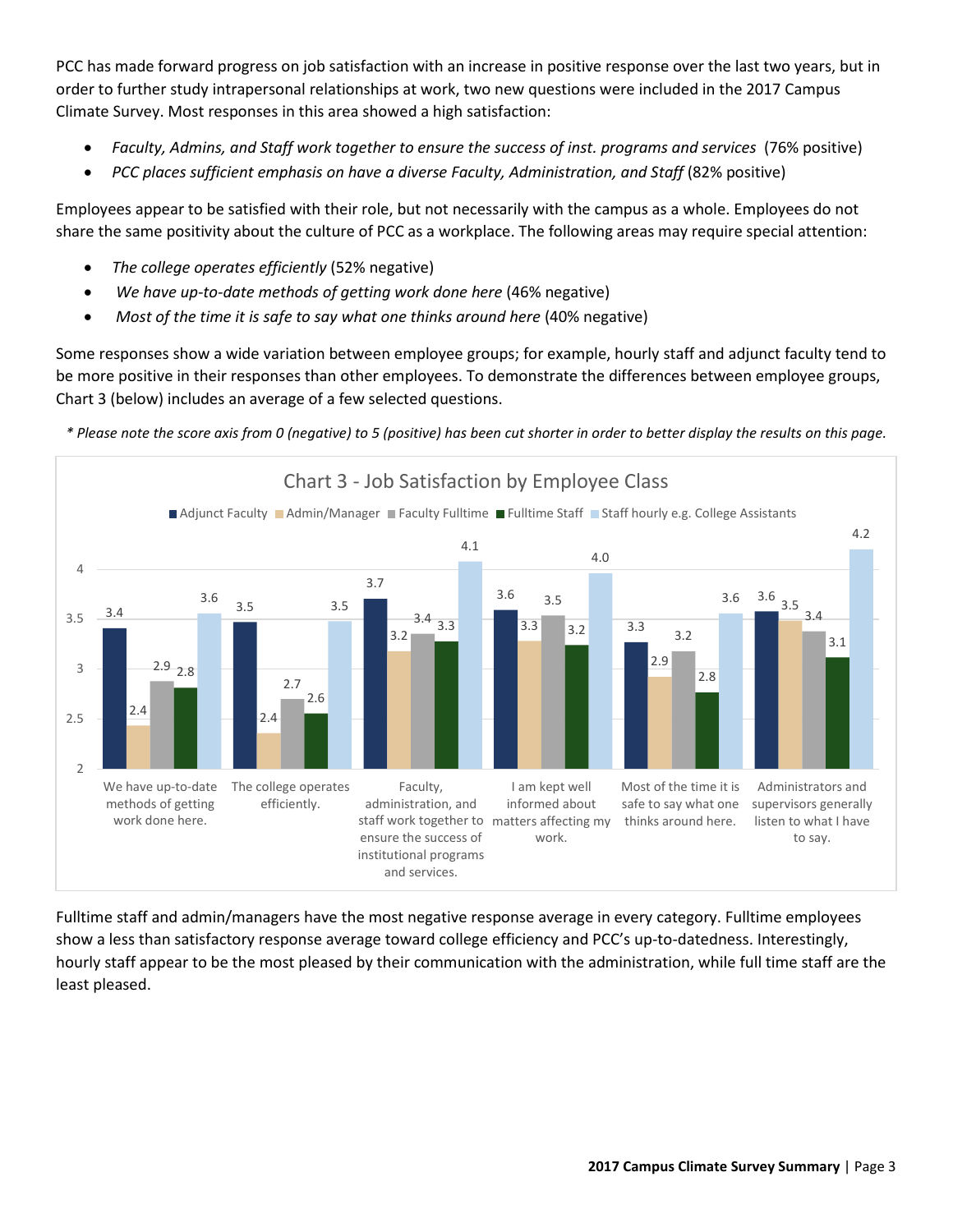PCC has made forward progress on job satisfaction with an increase in positive response over the last two years, but in order to further study intrapersonal relationships at work, two new questions were included in the 2017 Campus Climate Survey. Most responses in this area showed a high satisfaction:

- *Faculty, Admins, and Staff work together to ensure the success of inst. programs and services* (76% positive)
- *PCC places sufficient emphasis on have a diverse Faculty, Administration, and Staff* (82% positive)

Employees appear to be satisfied with their role, but not necessarily with the campus as a whole. Employees do not share the same positivity about the culture of PCC as a workplace. The following areas may require special attention:

- *The college operates efficiently* (52% negative)
- We have up-to-date methods of getting work done here (46% negative)
- *Most of the time it is safe to say what one thinks around here (40% negative)*

Some responses show a wide variation between employee groups; for example, hourly staff and adjunct faculty tend to be more positive in their responses than other employees. To demonstrate the differences between employee groups, Chart 3 (below) includes an average of a few selected questions.

*\* Please note the score axis from 0 (negative) to 5 (positive) has been cut shorter in order to better display the results on this page.*



Fulltime staff and admin/managers have the most negative response average in every category. Fulltime employees show a less than satisfactory response average toward college efficiency and PCC's up-to-datedness. Interestingly, hourly staff appear to be the most pleased by their communication with the administration, while full time staff are the least pleased.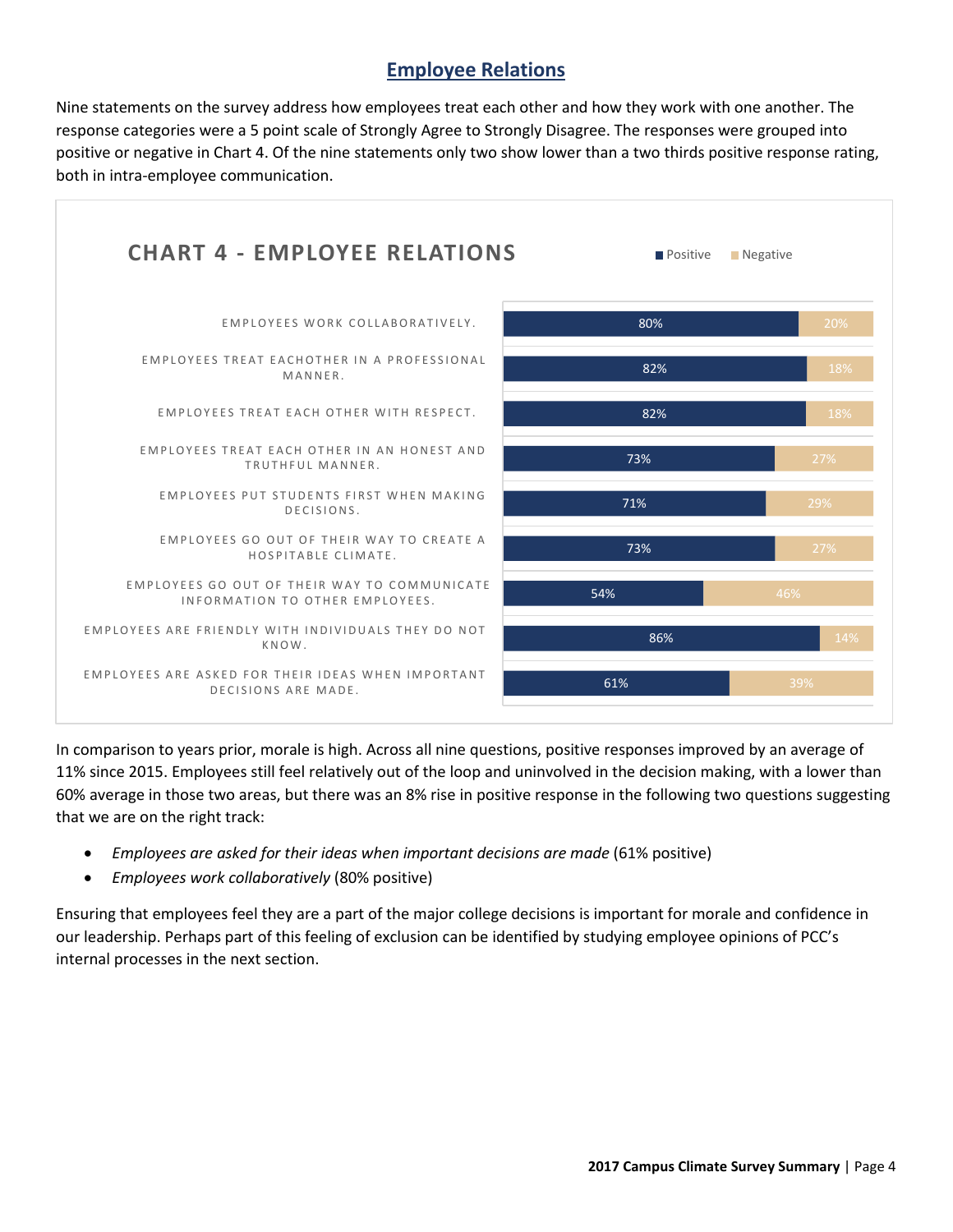### **Employee Relations**

Nine statements on the survey address how employees treat each other and how they work with one another. The response categories were a 5 point scale of Strongly Agree to Strongly Disagree. The responses were grouped into positive or negative in Chart 4. Of the nine statements only two show lower than a two thirds positive response rating, both in intra-employee communication.



In comparison to years prior, morale is high. Across all nine questions, positive responses improved by an average of 11% since 2015. Employees still feel relatively out of the loop and uninvolved in the decision making, with a lower than 60% average in those two areas, but there was an 8% rise in positive response in the following two questions suggesting that we are on the right track:

- *Employees are asked for their ideas when important decisions are made* (61% positive)
- *Employees work collaboratively* (80% positive)

Ensuring that employees feel they are a part of the major college decisions is important for morale and confidence in our leadership. Perhaps part of this feeling of exclusion can be identified by studying employee opinions of PCC's internal processes in the next section.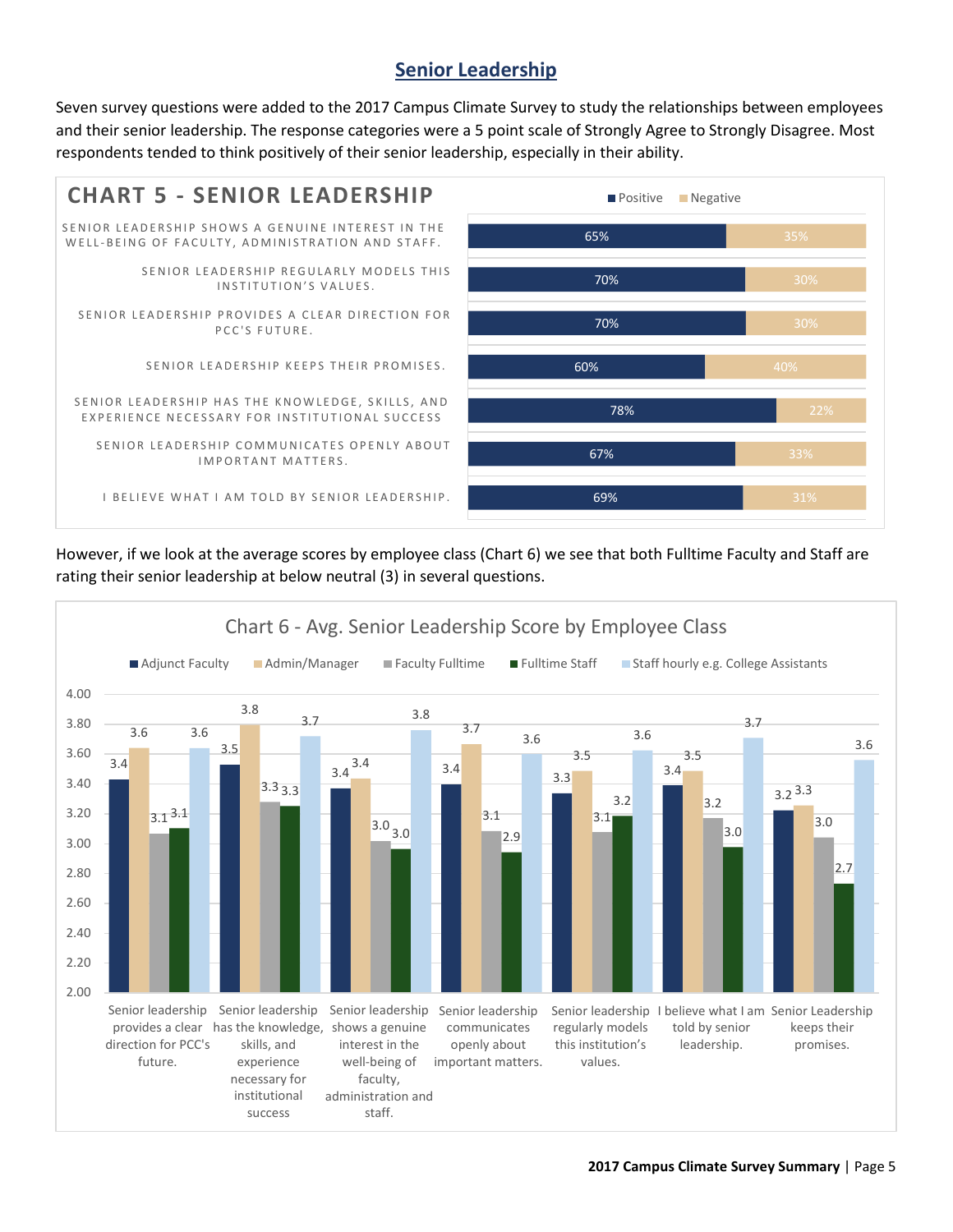## **Senior Leadership**

Seven survey questions were added to the 2017 Campus Climate Survey to study the relationships between employees and their senior leadership. The response categories were a 5 point scale of Strongly Agree to Strongly Disagree. Most respondents tended to think positively of their senior leadership, especially in their ability.



However, if we look at the average scores by employee class (Chart 6) we see that both Fulltime Faculty and Staff are rating their senior leadership at below neutral (3) in several questions.

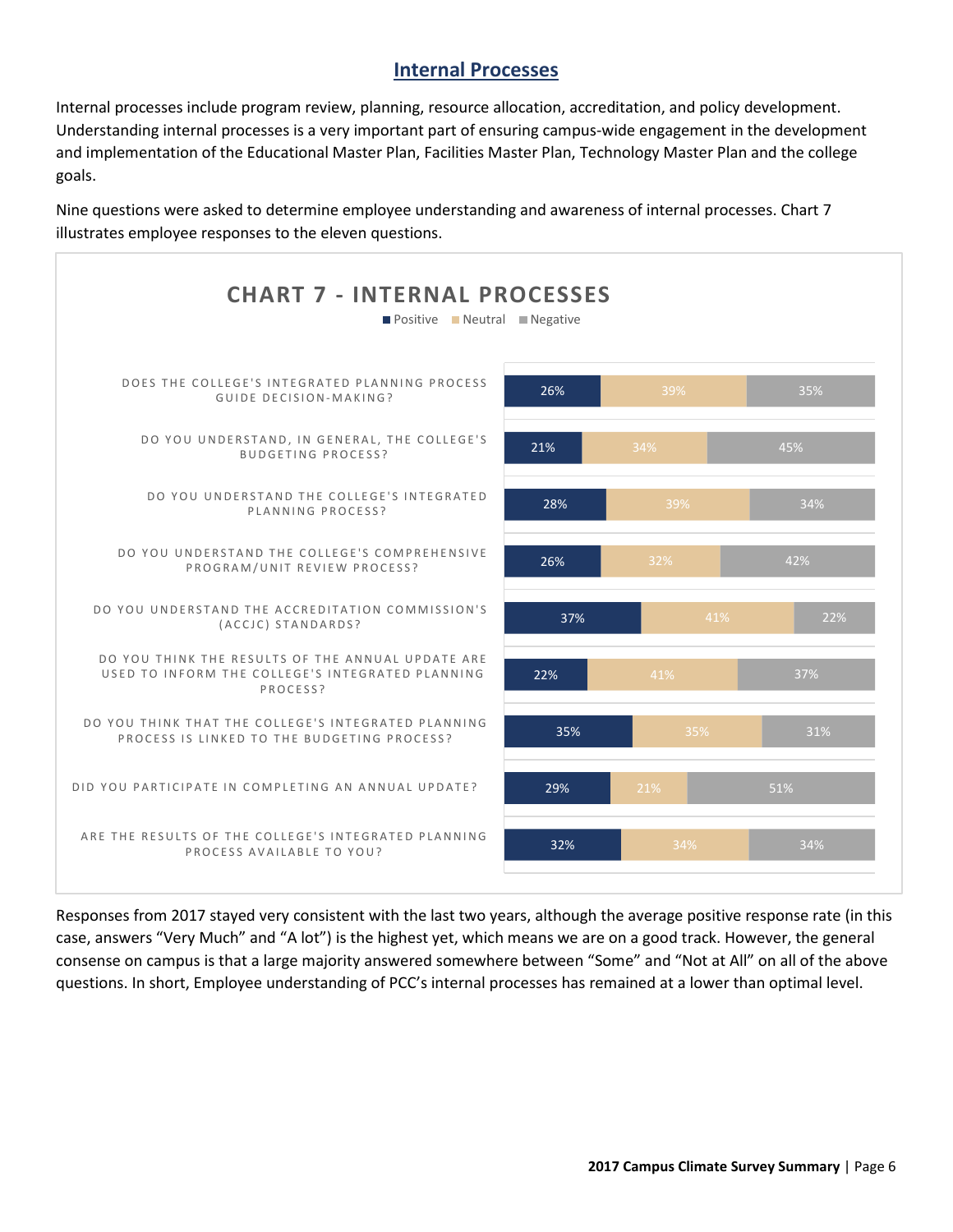#### **Internal Processes**

Internal processes include program review, planning, resource allocation, accreditation, and policy development. Understanding internal processes is a very important part of ensuring campus-wide engagement in the development and implementation of the Educational Master Plan, Facilities Master Plan, Technology Master Plan and the college goals.

Nine questions were asked to determine employee understanding and awareness of internal processes. Chart 7 illustrates employee responses to the eleven questions.



Responses from 2017 stayed very consistent with the last two years, although the average positive response rate (in this case, answers "Very Much" and "A lot") is the highest yet, which means we are on a good track. However, the general consense on campus is that a large majority answered somewhere between "Some" and "Not at All" on all of the above questions. In short, Employee understanding of PCC's internal processes has remained at a lower than optimal level.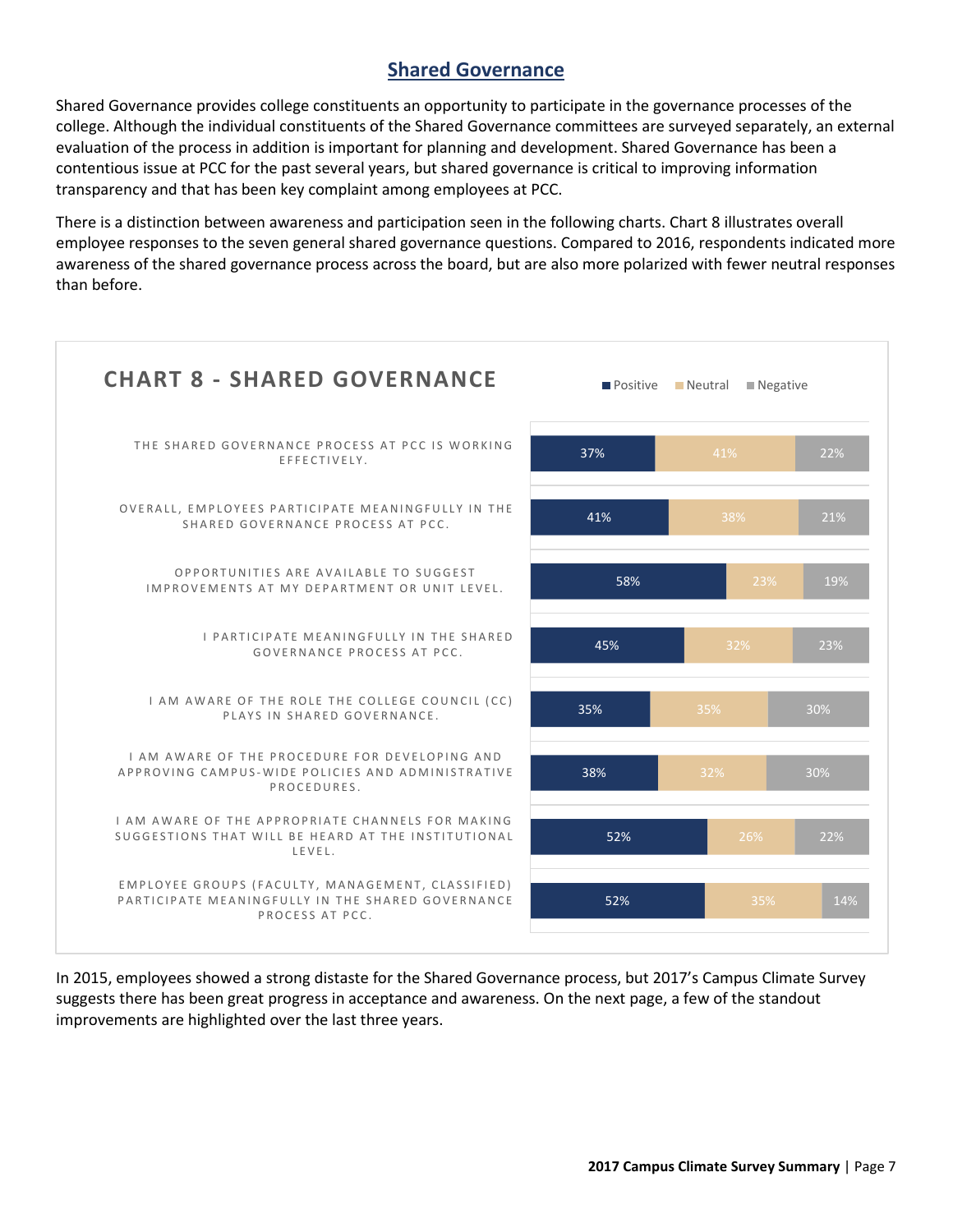### **Shared Governance**

Shared Governance provides college constituents an opportunity to participate in the governance processes of the college. Although the individual constituents of the Shared Governance committees are surveyed separately, an external evaluation of the process in addition is important for planning and development. Shared Governance has been a contentious issue at PCC for the past several years, but shared governance is critical to improving information transparency and that has been key complaint among employees at PCC.

There is a distinction between awareness and participation seen in the following charts. Chart 8 illustrates overall employee responses to the seven general shared governance questions. Compared to 2016, respondents indicated more awareness of the shared governance process across the board, but are also more polarized with fewer neutral responses than before.



In 2015, employees showed a strong distaste for the Shared Governance process, but 2017's Campus Climate Survey suggests there has been great progress in acceptance and awareness. On the next page, a few of the standout improvements are highlighted over the last three years.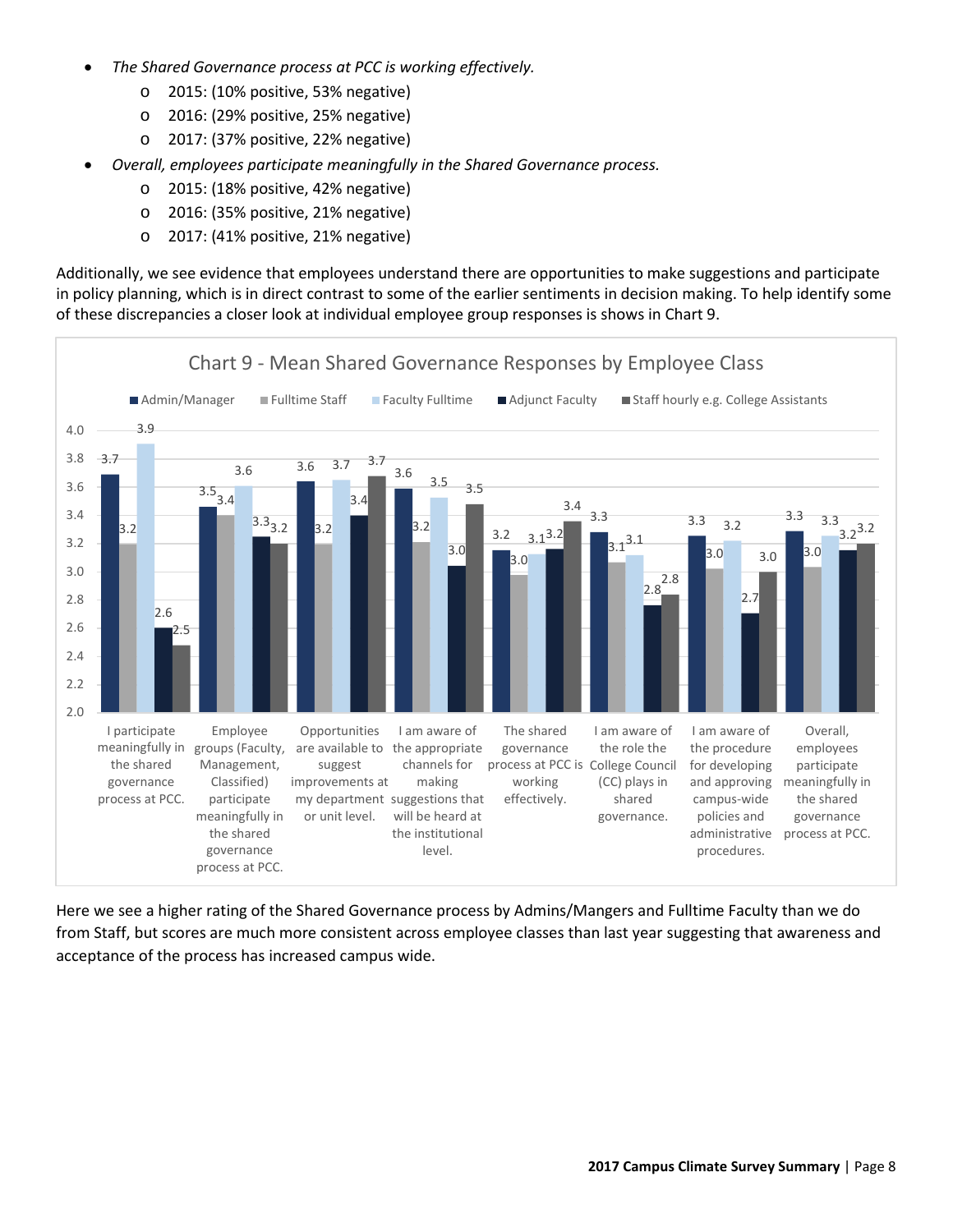- *The Shared Governance process at PCC is working effectively.*
	- o 2015: (10% positive, 53% negative)
	- o 2016: (29% positive, 25% negative)
	- o 2017: (37% positive, 22% negative)
- *Overall, employees participate meaningfully in the Shared Governance process.*
	- o 2015: (18% positive, 42% negative)
	- o 2016: (35% positive, 21% negative)
	- o 2017: (41% positive, 21% negative)

Additionally, we see evidence that employees understand there are opportunities to make suggestions and participate in policy planning, which is in direct contrast to some of the earlier sentiments in decision making. To help identify some of these discrepancies a closer look at individual employee group responses is shows in Chart 9.



Here we see a higher rating of the Shared Governance process by Admins/Mangers and Fulltime Faculty than we do from Staff, but scores are much more consistent across employee classes than last year suggesting that awareness and acceptance of the process has increased campus wide.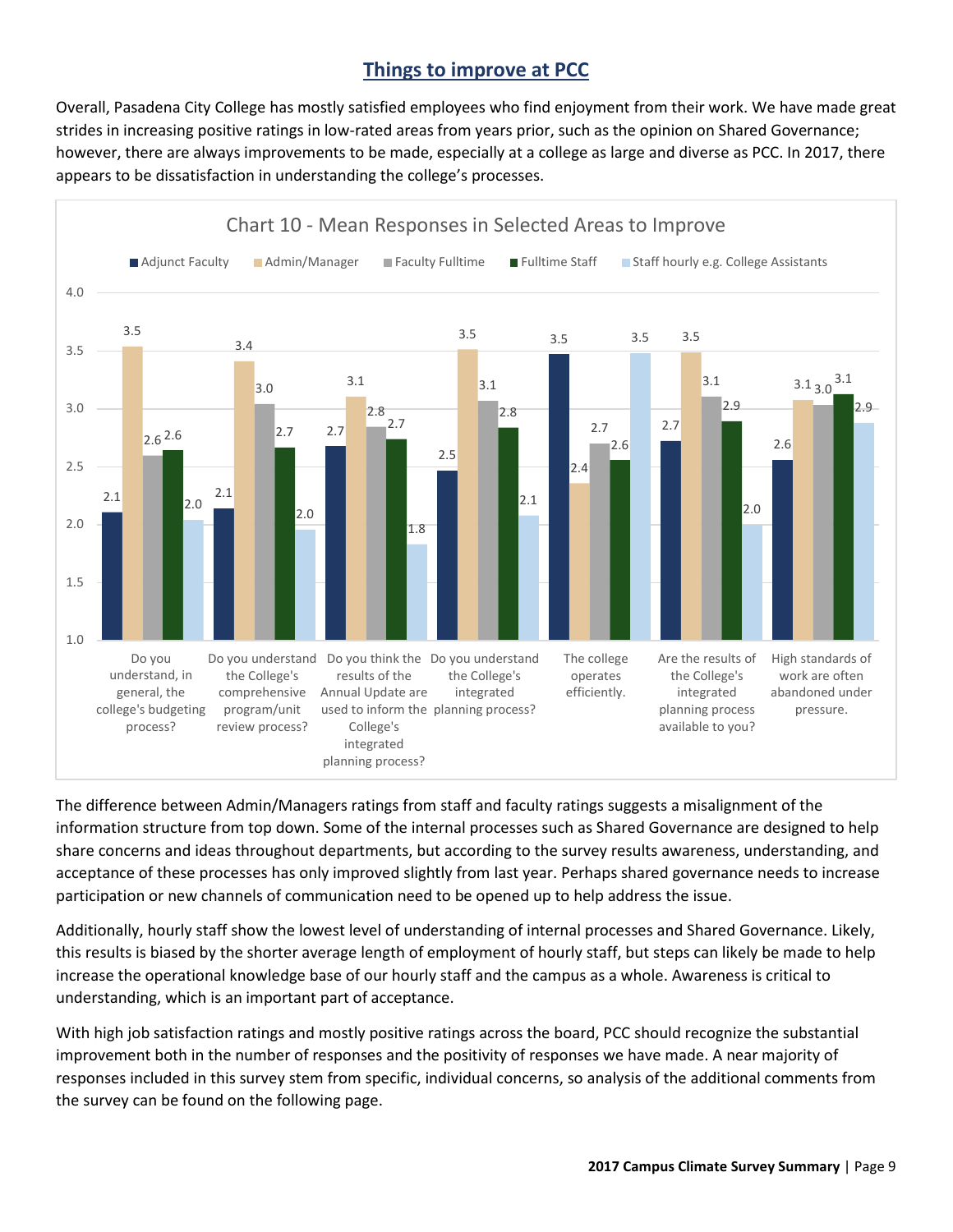## **Things to improve at PCC**

Overall, Pasadena City College has mostly satisfied employees who find enjoyment from their work. We have made great strides in increasing positive ratings in low-rated areas from years prior, such as the opinion on Shared Governance; however, there are always improvements to be made, especially at a college as large and diverse as PCC. In 2017, there appears to be dissatisfaction in understanding the college's processes.



The difference between Admin/Managers ratings from staff and faculty ratings suggests a misalignment of the information structure from top down. Some of the internal processes such as Shared Governance are designed to help share concerns and ideas throughout departments, but according to the survey results awareness, understanding, and acceptance of these processes has only improved slightly from last year. Perhaps shared governance needs to increase participation or new channels of communication need to be opened up to help address the issue.

Additionally, hourly staff show the lowest level of understanding of internal processes and Shared Governance. Likely, this results is biased by the shorter average length of employment of hourly staff, but steps can likely be made to help increase the operational knowledge base of our hourly staff and the campus as a whole. Awareness is critical to understanding, which is an important part of acceptance.

With high job satisfaction ratings and mostly positive ratings across the board, PCC should recognize the substantial improvement both in the number of responses and the positivity of responses we have made. A near majority of responses included in this survey stem from specific, individual concerns, so analysis of the additional comments from the survey can be found on the following page.